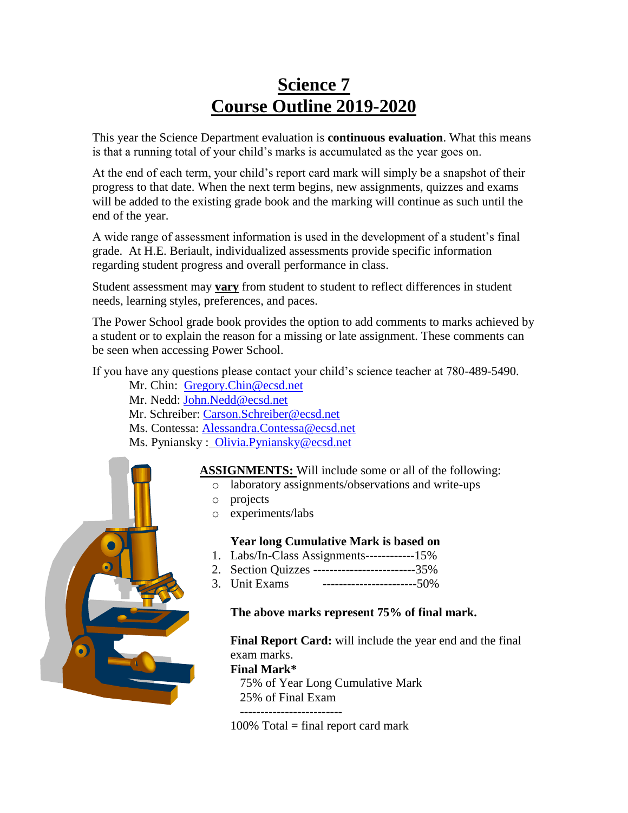# **Science 7 Course Outline 2019-2020**

This year the Science Department evaluation is **continuous evaluation**. What this means is that a running total of your child's marks is accumulated as the year goes on.

At the end of each term, your child's report card mark will simply be a snapshot of their progress to that date. When the next term begins, new assignments, quizzes and exams will be added to the existing grade book and the marking will continue as such until the end of the year.

A wide range of assessment information is used in the development of a student's final grade. At H.E. Beriault, individualized assessments provide specific information regarding student progress and overall performance in class.

Student assessment may **vary** from student to student to reflect differences in student needs, learning styles, preferences, and paces.

The Power School grade book provides the option to add comments to marks achieved by a student or to explain the reason for a missing or late assignment. These comments can be seen when accessing Power School.

If you have any questions please contact your child's science teacher at 780-489-5490.

Mr. Chin: [Gregory.Chin@ecsd.net](mailto:Gregory.Chin@ecsd.net) Mr. Nedd: [John.Nedd@ecsd.net](mailto:Gregory.Chin@ecsd.net) Mr. Schreiber: [Carson.Schreiber@ecsd.net](mailto:Shane.Masse@ecsd.net) Ms. Contessa: [Alessandra.Contessa@ecsd.net](mailto:Nicole.Danzo@ecsd.net) Ms. Pyniansky : Olivia.Pyniansky@ecsd.net

**ASSIGNMENTS:** Will include some or all of the following:

- o laboratory assignments/observations and write-ups
- o projects
- o experiments/labs

## **Year long Cumulative Mark is based on**

- 1. Labs/In-Class Assignments------------15%
- 2. Section Quizzes -------------------------35%
- 3. Unit Exams -----------------------50%

#### **The above marks represent 75% of final mark.**

**Final Report Card:** will include the year end and the final exam marks.

#### **Final Mark\***

75% of Year Long Cumulative Mark 25% of Final Exam

-------------------------

 $100\%$  Total = final report card mark